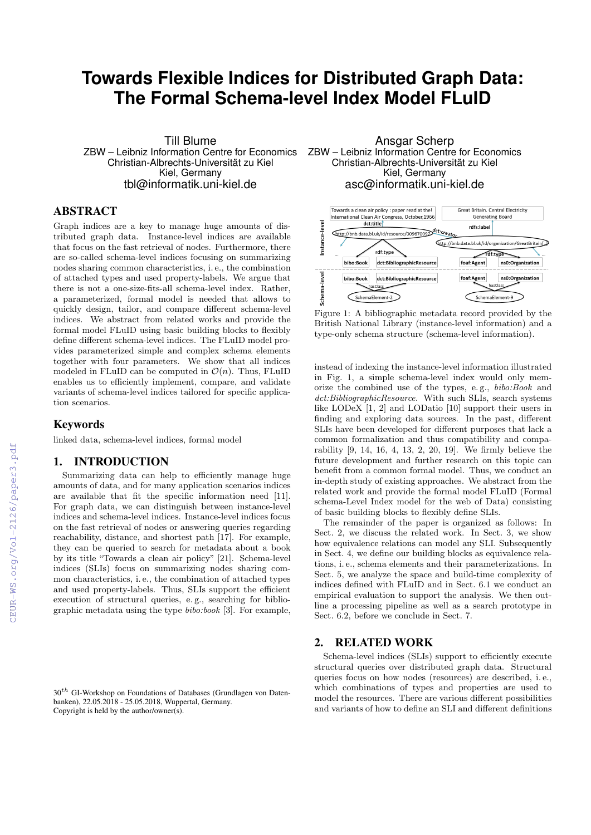# **Towards Flexible Indices for Distributed Graph Data: The Formal Schema-level Index Model FLuID**

Till Blume ZBW – Leibniz Information Centre for Economics Christian-Albrechts-Universität zu Kiel Kiel, Germany tbl@informatik.uni-kiel.de

# ABSTRACT

Graph indices are a key to manage huge amounts of distributed graph data. Instance-level indices are available that focus on the fast retrieval of nodes. Furthermore, there are so-called schema-level indices focusing on summarizing nodes sharing common characteristics, i. e., the combination of attached types and used property-labels. We argue that there is not a one-size-fits-all schema-level index. Rather, a parameterized, formal model is needed that allows to quickly design, tailor, and compare different schema-level indices. We abstract from related works and provide the formal model FLuID using basic building blocks to flexibly define different schema-level indices. The FLuID model provides parameterized simple and complex schema elements together with four parameters. We show that all indices modeled in FLuID can be computed in  $\mathcal{O}(n)$ . Thus, FLuID enables us to efficiently implement, compare, and validate variants of schema-level indices tailored for specific application scenarios.

#### Keywords

linked data, schema-level indices, formal model

# 1. INTRODUCTION

Summarizing data can help to efficiently manage huge amounts of data, and for many application scenarios indices are available that fit the specific information need [11]. For graph data, we can distinguish between instance-level indices and schema-level indices. Instance-level indices focus on the fast retrieval of nodes or answering queries regarding reachability, distance, and shortest path [17]. For example, they can be queried to search for metadata about a book by its title "Towards a clean air policy" [21]. Schema-level indices (SLIs) focus on summarizing nodes sharing common characteristics, i. e., the combination of attached types and used property-labels. Thus, SLIs support the efficient execution of structural queries, e. g., searching for bibliographic metadata using the type bibo:book [3]. For example,

 $30<sup>th</sup>$  GI-Workshop on Foundations of Databases (Grundlagen von Datenbanken), 22.05.2018 - 25.05.2018, Wuppertal, Germany. Copyright is held by the author/owner(s).

Ansgar Scherp ZBW – Leibniz Information Centre for Economics Christian-Albrechts-Universität zu Kiel Kiel, Germany asc@informatik.uni-kiel.de



Figure 1: A bibliographic metadata record provided by the British National Library (instance-level information) and a type-only schema structure (schema-level information).

instead of indexing the instance-level information illustrated in Fig. 1, a simple schema-level index would only memorize the combined use of the types, e. g., bibo:Book and dct:BibliographicResource. With such SLIs, search systems like LODeX [1, 2] and LODatio [10] support their users in finding and exploring data sources. In the past, different SLIs have been developed for different purposes that lack a common formalization and thus compatibility and comparability [9, 14, 16, 4, 13, 2, 20, 19]. We firmly believe the future development and further research on this topic can benefit from a common formal model. Thus, we conduct an in-depth study of existing approaches. We abstract from the related work and provide the formal model FLuID (Formal schema-Level Index model for the web of Data) consisting of basic building blocks to flexibly define SLIs.

The remainder of the paper is organized as follows: In Sect. 2, we discuss the related work. In Sect. 3, we show how equivalence relations can model any SLI. Subsequently in Sect. 4, we define our building blocks as equivalence relations, i. e., schema elements and their parameterizations. In Sect. 5, we analyze the space and build-time complexity of indices defined with FLuID and in Sect. 6.1 we conduct an empirical evaluation to support the analysis. We then outline a processing pipeline as well as a search prototype in Sect. 6.2, before we conclude in Sect. 7.

# 2. RELATED WORK

Schema-level indices (SLIs) support to efficiently execute structural queries over distributed graph data. Structural queries focus on how nodes (resources) are described, i. e., which combinations of types and properties are used to model the resources. There are various different possibilities and variants of how to define an SLI and different definitions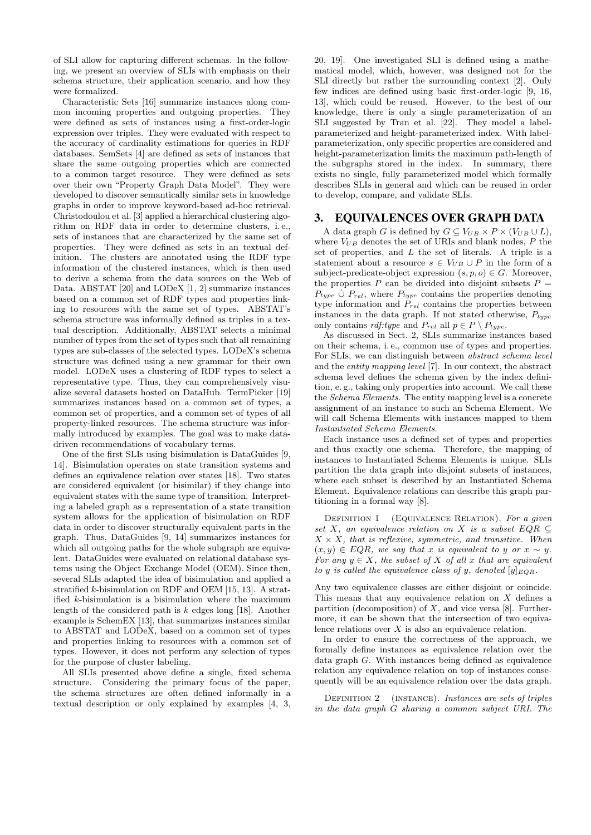of SLI allow for capturing different schemas. In the following, we present an overview of SLIs with emphasis on their schema structure, their application scenario, and how they were formalized.

Characteristic Sets [16] summarize instances along common incoming properties and outgoing properties. They were defined as sets of instances using a first-order-logic expression over triples. They were evaluated with respect to the accuracy of cardinality estimations for queries in RDF databases. SemSets [4] are defined as sets of instances that share the same outgoing properties which are connected to a common target resource. They were defined as sets over their own "Property Graph Data Model". They were developed to discover semantically similar sets in knowledge graphs in order to improve keyword-based ad-hoc retrieval. Christodoulou et al. [3] applied a hierarchical clustering algorithm on RDF data in order to determine clusters, i. e., sets of instances that are characterized by the same set of properties. They were defined as sets in an textual definition. The clusters are annotated using the RDF type information of the clustered instances, which is then used to derive a schema from the data sources on the Web of Data. ABSTAT [20] and LODeX [1, 2] summarize instances based on a common set of RDF types and properties linking to resources with the same set of types. ABSTAT's schema structure was informally defined as triples in a textual description. Additionally, ABSTAT selects a minimal number of types from the set of types such that all remaining types are sub-classes of the selected types. LODeX's schema structure was defined using a new grammar for their own model. LODeX uses a clustering of RDF types to select a representative type. Thus, they can comprehensively visualize several datasets hosted on DataHub. TermPicker [19] summarizes instances based on a common set of types, a common set of properties, and a common set of types of all property-linked resources. The schema structure was informally introduced by examples. The goal was to make datadriven recommendations of vocabulary terms.

One of the first SLIs using bisimulation is DataGuides [9, 14]. Bisimulation operates on state transition systems and defines an equivalence relation over states [18]. Two states are considered equivalent (or bisimilar) if they change into equivalent states with the same type of transition. Interpreting a labeled graph as a representation of a state transition system allows for the application of bisimulation on RDF data in order to discover structurally equivalent parts in the graph. Thus, DataGuides [9, 14] summarizes instances for which all outgoing paths for the whole subgraph are equivalent. DataGuides were evaluated on relational database systems using the Object Exchange Model (OEM). Since then, several SLIs adapted the idea of bisimulation and applied a stratified k-bisimulation on RDF and OEM [15, 13]. A stratified k-bisimulation is a bisimulation where the maximum length of the considered path is  $k$  edges long [18]. Another example is SchemEX [13], that summarizes instances similar to ABSTAT and LODeX, based on a common set of types and properties linking to resources with a common set of types. However, it does not perform any selection of types for the purpose of cluster labeling.

All SLIs presented above define a single, fixed schema structure. Considering the primary focus of the paper, the schema structures are often defined informally in a textual description or only explained by examples [4, 3,

20, 19]. One investigated SLI is defined using a mathematical model, which, however, was designed not for the SLI directly but rather the surrounding context [2]. Only few indices are defined using basic first-order-logic [9, 16, 13], which could be reused. However, to the best of our knowledge, there is only a single parameterization of an SLI suggested by Tran et al. [22]. They model a labelparameterized and height-parameterized index. With labelparameterization, only specific properties are considered and height-parameterization limits the maximum path-length of the subgraphs stored in the index. In summary, there exists no single, fully parameterized model which formally describes SLIs in general and which can be reused in order to develop, compare, and validate SLIs.

#### 3. EQUIVALENCES OVER GRAPH DATA

A data graph G is defined by  $G \subseteq V_{UB} \times P \times (V_{UB} \cup L)$ , where  $V_{UB}$  denotes the set of URIs and blank nodes,  $P$  the set of properties, and L the set of literals. A triple is a statement about a resource  $s \in V_{UB} \cup P$  in the form of a subject-predicate-object expression  $(s, p, o) \in G$ . Moreover, the properties P can be divided into disjoint subsets  $P =$  $P_{type}$   $\dot{\cup}$   $P_{rel}$ , where  $P_{type}$  contains the properties denoting type information and  $P_{rel}$  contains the properties between instances in the data graph. If not stated otherwise,  $P_{true}$ only contains *rdf:type* and  $P_{rel}$  all  $p \in P \setminus P_{ture}$ .

As discussed in Sect. 2, SLIs summarize instances based on their schema, i. e., common use of types and properties. For SLIs, we can distinguish between abstract schema level and the entity mapping level [7]. In our context, the abstract schema level defines the schema given by the index definition, e. g., taking only properties into account. We call these the Schema Elements. The entity mapping level is a concrete assignment of an instance to such an Schema Element. We will call Schema Elements with instances mapped to them Instantiated Schema Elements.

Each instance uses a defined set of types and properties and thus exactly one schema. Therefore, the mapping of instances to Instantiated Schema Elements is unique. SLIs partition the data graph into disjoint subsets of instances, where each subset is described by an Instantiated Schema Element. Equivalence relations can describe this graph partitioning in a formal way [8].

DEFINITION 1 (EQUIVALENCE RELATION). For a given set X, an equivalence relation on X is a subset  $EQR \subseteq$  $X \times X$ , that is reflexive, symmetric, and transitive. When  $(x, y) \in EQR$ , we say that x is equivalent to y or  $x \sim y$ . For any  $y \in X$ , the subset of X of all x that are equivalent to y is called the equivalence class of y, denoted  $[y]_{EOR}$ .

Any two equivalence classes are either disjoint or coincide. This means that any equivalence relation on  $X$  defines a partition (decomposition) of  $X$ , and vice versa [8]. Furthermore, it can be shown that the intersection of two equivalence relations over  $X$  is also an equivalence relation.

In order to ensure the correctness of the approach, we formally define instances as equivalence relation over the data graph G. With instances being defined as equivalence relation any equivalence relation on top of instances consequently will be an equivalence relation over the data graph.

DEFINITION 2 (INSTANCE). Instances are sets of triples in the data graph G sharing a common subject URI. The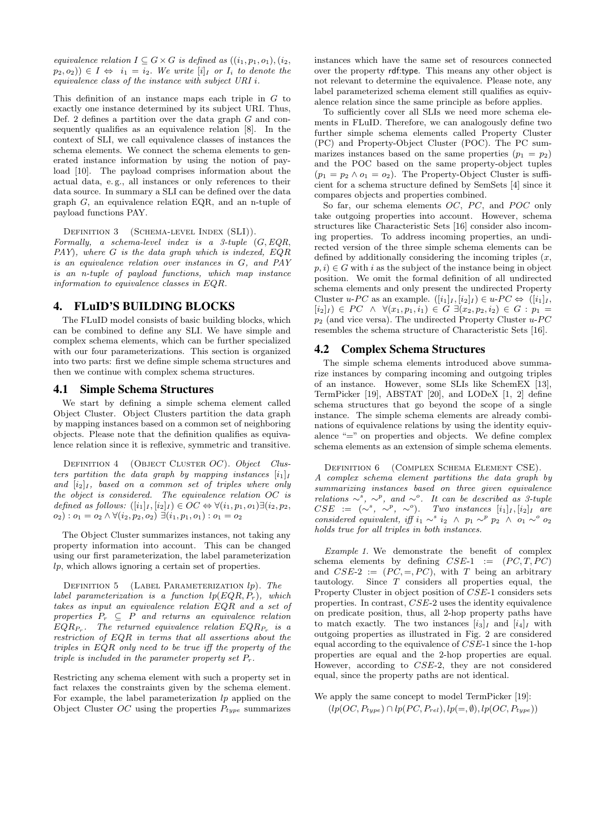equivalence relation  $I \subseteq G \times G$  is defined as  $((i_1, p_1, o_1), (i_2,$  $(p_2, o_2)$ )  $\in I \Leftrightarrow i_1 = i_2$ . We write  $[i]_I$  or  $I_i$  to denote the equivalence class of the instance with subject URI i.

This definition of an instance maps each triple in  $G$  to exactly one instance determined by its subject URI. Thus, Def. 2 defines a partition over the data graph G and consequently qualifies as an equivalence relation [8]. In the context of SLI, we call equivalence classes of instances the schema elements. We connect the schema elements to generated instance information by using the notion of payload [10]. The payload comprises information about the actual data, e. g., all instances or only references to their data source. In summary a SLI can be defined over the data graph G, an equivalence relation EQR, and an n-tuple of payload functions PAY.

DEFINITION 3 (SCHEMA-LEVEL INDEX (SLI)).

Formally, a schema-level index is a 3-tuple  $(G, EQR,$ PAY), where G is the data graph which is indexed, EQR is an equivalence relation over instances in G, and PAY is an n-tuple of payload functions, which map instance information to equivalence classes in EQR.

### 4. FLuID'S BUILDING BLOCKS

The FLuID model consists of basic building blocks, which can be combined to define any SLI. We have simple and complex schema elements, which can be further specialized with our four parameterizations. This section is organized into two parts: first we define simple schema structures and then we continue with complex schema structures.

#### 4.1 Simple Schema Structures

We start by defining a simple schema element called Object Cluster. Object Clusters partition the data graph by mapping instances based on a common set of neighboring objects. Please note that the definition qualifies as equivalence relation since it is reflexive, symmetric and transitive.

DEFINITION 4 (OBJECT CLUSTER OC). Object Clusters partition the data graph by mapping instances  $[i_1]_I$ and  $[i_2]_I$ , based on a common set of triples where only the object is considered. The equivalence relation OC is defined as follows:  $([i_1]_I, [i_2]_I) \in OC \Leftrightarrow \forall (i_1, p_1, o_1) \exists (i_2, p_2,$  $o_2$ ) :  $o_1 = o_2 \wedge \forall (i_2, p_2, o_2) \exists (i_1, p_1, o_1)$  :  $o_1 = o_2$ 

The Object Cluster summarizes instances, not taking any property information into account. This can be changed using our first parameterization, the label parameterization lp, which allows ignoring a certain set of properties.

DEFINITION 5 (LABEL PARAMETERIZATION  $lp$ ). The label parameterization is a function  $lp(EOR, P_r)$ , which takes as input an equivalence relation EQR and a set of properties  $P_r \subseteq P$  and returns an equivalence relation  $EQR_{P_r}$ . The returned equivalence relation  $EQR_{P_r}$  is a restriction of EQR in terms that all assertions about the triples in EQR only need to be true iff the property of the triple is included in the parameter property set  $P_r$ .

Restricting any schema element with such a property set in fact relaxes the constraints given by the schema element. For example, the label parameterization  $lp$  applied on the Object Cluster  $OC$  using the properties  $P_{type}$  summarizes instances which have the same set of resources connected over the property rdf:type. This means any other object is not relevant to determine the equivalence. Please note, any label parameterized schema element still qualifies as equivalence relation since the same principle as before applies.

To sufficiently cover all SLIs we need more schema elements in FLuID. Therefore, we can analogously define two further simple schema elements called Property Cluster (PC) and Property-Object Cluster (POC). The PC summarizes instances based on the same properties  $(p_1 = p_2)$ and the POC based on the same property-object tuples  $(p_1 = p_2 \wedge o_1 = o_2)$ . The Property-Object Cluster is sufficient for a schema structure defined by SemSets [4] since it compares objects and properties combined.

So far, our schema elements  $OC$ ,  $PC$ , and  $POC$  only take outgoing properties into account. However, schema structures like Characteristic Sets [16] consider also incoming properties. To address incoming properties, an undirected version of the three simple schema elements can be defined by additionally considering the incoming triples  $(x,$  $p, i) \in G$  with i as the subject of the instance being in object position. We omit the formal definition of all undirected schema elements and only present the undirected Property Cluster u-PC as an example.  $([i_1]_I, [i_2]_I) \in u$ -PC  $\Leftrightarrow ([i_1]_I,$  $[i_2]_I$   $\in$   $PC \wedge \forall (x_1, p_1, i_1) \in G \exists (x_2, p_2, i_2) \in G : p_1 =$  $p_2$  (and vice versa). The undirected Property Cluster  $u$ -PC resembles the schema structure of Characteristic Sets [16].

#### 4.2 Complex Schema Structures

The simple schema elements introduced above summarize instances by comparing incoming and outgoing triples of an instance. However, some SLIs like SchemEX [13], TermPicker [19], ABSTAT [20], and LODeX [1, 2] define schema structures that go beyond the scope of a single instance. The simple schema elements are already combinations of equivalence relations by using the identity equivalence "=" on properties and objects. We define complex schema elements as an extension of simple schema elements.

Definition 6 (Complex Schema Element CSE).

A complex schema element partitions the data graph by summarizing instances based on three given equivalence relations  $\sim^s$ ,  $\sim^p$ , and  $\sim^o$ . It can be described as 3-tuple  $CSE := (\sim^s, \sim^p, \sim^o).$  Two instances  $[i_1]_I, [i_2]_I$  are considered equivalent, iff  $i_1 \sim^s i_2 \land p_1 \sim^p p_2 \land o_1 \sim^o o_2$ holds true for all triples in both instances.

Example 1. We demonstrate the benefit of complex schema elements by defining  $CSE-1$  :=  $(PC, T, PC)$ and  $CSE-2 := (PC, =, PC)$ , with T being an arbitrary tautology. Since T considers all properties equal, the Property Cluster in object position of CSE-1 considers sets properties. In contrast, CSE-2 uses the identity equivalence on predicate position, thus, all 2-hop property paths have to match exactly. The two instances  $[i_3]_I$  and  $[i_4]_I$  with outgoing properties as illustrated in Fig. 2 are considered equal according to the equivalence of CSE-1 since the 1-hop properties are equal and the 2-hop properties are equal. However, according to CSE-2, they are not considered equal, since the property paths are not identical.

We apply the same concept to model TermPicker [19]:  $(lp(OC, P_{type}) \cap lp(PC, P_{rel}), lp(=, \emptyset), lp(OC, P_{type}))$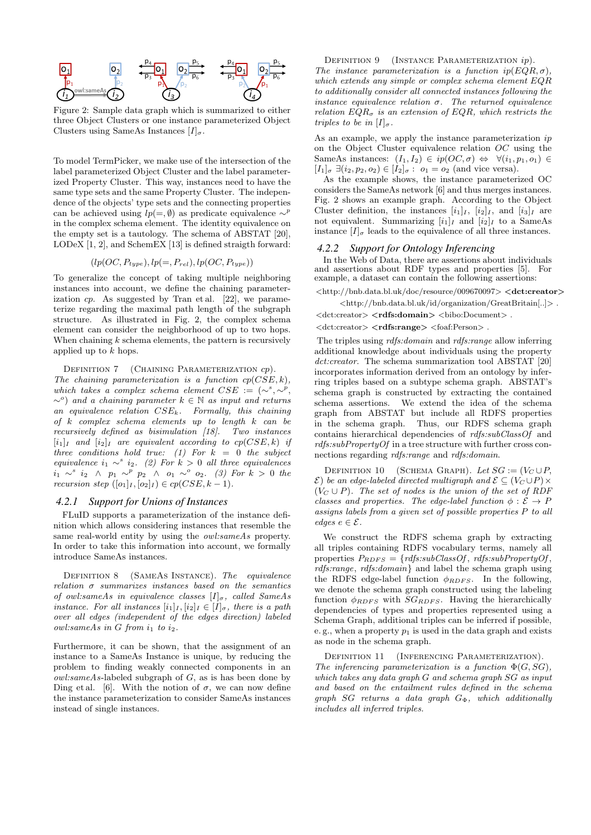

Figure 2: Sample data graph which is summarized to either three Object Clusters or one instance parameterized Object Clusters using SameAs Instances  $[I]_{\sigma}$ .

To model TermPicker, we make use of the intersection of the label parameterized Object Cluster and the label parameterized Property Cluster. This way, instances need to have the same type sets and the same Property Cluster. The independence of the objects' type sets and the connecting properties can be achieved using  $lp(=, \emptyset)$  as predicate equivalence  $\sim^p$ in the complex schema element. The identity equivalence on the empty set is a tautology. The schema of ABSTAT [20], LODeX [1, 2], and SchemEX [13] is defined straigth forward:

$$
(lp(OC, P_{type}), lp(=, P_{rel}), lp(OC, P_{type}))
$$

To generalize the concept of taking multiple neighboring instances into account, we define the chaining parameterization  $cp$ . As suggested by Tran et al. [22], we parameterize regarding the maximal path length of the subgraph structure. As illustrated in Fig. 2, the complex schema element can consider the neighborhood of up to two hops. When chaining  $k$  schema elements, the pattern is recursively applied up to k hops.

DEFINITION 7 (CHAINING PARAMETERIZATION  $cp$ ).

The chaining parameterization is a function  $cp(CSE, k)$ , which takes a complex schema element  $CSE := (\sim^s, \sim^p,$  $\sim$ <sup>o</sup>) and a chaining parameter  $k \in \mathbb{N}$  as input and returns an equivalence relation  $CSE_k$ . Formally, this chaining of  $k$  complex schema elements up to length  $k$  can be recursively defined as bisimulation [18]. Two instances  $[i_1]_I$  and  $[i_2]_I$  are equivalent according to  $cp(CSE, k)$  if three conditions hold true: (1) For  $k = 0$  the subject equivalence  $i_1 \sim s_i$  (2) For  $k > 0$  all three equivalences  $i_1 \sim^s i_2 \land p_1 \sim^p p_2 \land o_1 \sim^o o_2.$  (3) For  $k > 0$  the recursion step  $([o_1]_I, [o_2]_I) \in cp(CSE, k-1)$ .

#### *4.2.1 Support for Unions of Instances*

FLuID supports a parameterization of the instance definition which allows considering instances that resemble the same real-world entity by using the *owl:sameAs* property. In order to take this information into account, we formally introduce SameAs instances.

DEFINITION 8 (SAMEAS INSTANCE). The equivalence relation  $\sigma$  summarizes instances based on the semantics of owl:sameAs in equivalence classes  $[I]_{\sigma}$ , called SameAs instance. For all instances  $[i_1]_I, [i_2]_I \in [I]_{\sigma}$ , there is a path over all edges (independent of the edges direction) labeled  $owl:sameAs$  in  $G$  from  $i_1$  to  $i_2$ .

Furthermore, it can be shown, that the assignment of an instance to a SameAs Instance is unique, by reducing the problem to finding weakly connected components in an  $owl:sameAs$ -labeled subgraph of  $G$ , as is has been done by Ding et al. [6]. With the notion of  $\sigma$ , we can now define the instance parameterization to consider SameAs instances instead of single instances.

DEFINITION 9 (INSTANCE PARAMETERIZATION  $ip$ ). The instance parameterization is a function  $ip(EQR, \sigma)$ , which extends any simple or complex schema element EQR to additionally consider all connected instances following the instance equivalence relation  $\sigma$ . The returned equivalence relation  $EQR_{\sigma}$  is an extension of EQR, which restricts the triples to be in  $[I]_{\sigma}$ .

As an example, we apply the instance parameterization  $ip$ on the Object Cluster equivalence relation  $OC$  using the SameAs instances:  $(I_1, I_2) \in ip(OC, \sigma) \Leftrightarrow \forall (i_1, p_1, o_1) \in$  $[I_1]_{\sigma} \exists (i_2, p_2, o_2) \in [I_2]_{\sigma} : o_1 = o_2 \text{ (and vice versa)}.$ 

As the example shows, the instance parameterized OC considers the SameAs network [6] and thus merges instances. Fig. 2 shows an example graph. According to the Object Cluster definition, the instances  $[i_1]_I$ ,  $[i_2]_I$ , and  $[i_3]_I$  are not equivalent. Summarizing  $[i_1]_I$  and  $[i_2]_I$  to a SameAs instance  $[I]_{\sigma}$  leads to the equivalence of all three instances.

#### *4.2.2 Support for Ontology Inferencing*

In the Web of Data, there are assertions about individuals and assertions about RDF types and properties [5]. For example, a dataset can contain the following assertions:

<http://bnb.data.bl.uk/doc/resource/009670097> <dct:creator>

<http://bnb.data.bl.uk/id/organization/GreatBritain[..]> .

<dct:creator> <rdfs:domain> <br/> <br/>bibo:Document> .

 $\langle \text{det:} \text{create} \rangle \langle \text{refs:} \text{range} \rangle \langle \text{foaf:} \text{Person} \rangle$ .

The triples using rdfs:domain and rdfs:range allow inferring additional knowledge about individuals using the property dct:creator. The schema summarization tool ABSTAT [20] incorporates information derived from an ontology by inferring triples based on a subtype schema graph. ABSTAT's schema graph is constructed by extracting the contained schema assertions. We extend the idea of the schema graph from ABSTAT but include all RDFS properties in the schema graph. Thus, our RDFS schema graph contains hierarchical dependencies of rdfs:subClassOf and rdfs:subPropertyOf in a tree structure with further cross connections regarding *rdfs:range* and *rdfs:domain.* 

DEFINITION 10 (SCHEMA GRAPH). Let  $SG := (V_C \cup P,$  $\mathcal{E}$ ) be an edge-labeled directed multigraph and  $\mathcal{E} \subseteq (V_C \cup P) \times$  $(V_C \cup P)$ . The set of nodes is the union of the set of RDF classes and properties. The edge-label function  $\phi : \mathcal{E} \to P$ assigns labels from a given set of possible properties P to all edges  $e \in \mathcal{E}$ .

We construct the RDFS schema graph by extracting all triples containing RDFS vocabulary terms, namely all properties  $P_{RDFS} = \{rdfs:subClassOf, rdfs:subPropertyOf,$ rdfs:range, rdfs:domain} and label the schema graph using the RDFS edge-label function  $\phi_{RDFS}$ . In the following, we denote the schema graph constructed using the labeling function  $\phi_{RDFS}$  with  $SG_{RDFS}$ . Having the hierarchically dependencies of types and properties represented using a Schema Graph, additional triples can be inferred if possible, e.g., when a property  $p_1$  is used in the data graph and exists as node in the schema graph.

DEFINITION 11 (INFERENCING PARAMETERIZATION). The inferencing parameterization is a function  $\Phi(G,SG)$ , which takes any data graph G and schema graph SG as input and based on the entailment rules defined in the schema graph  $SG$  returns a data graph  $G_{\Phi}$ , which additionally includes all inferred triples.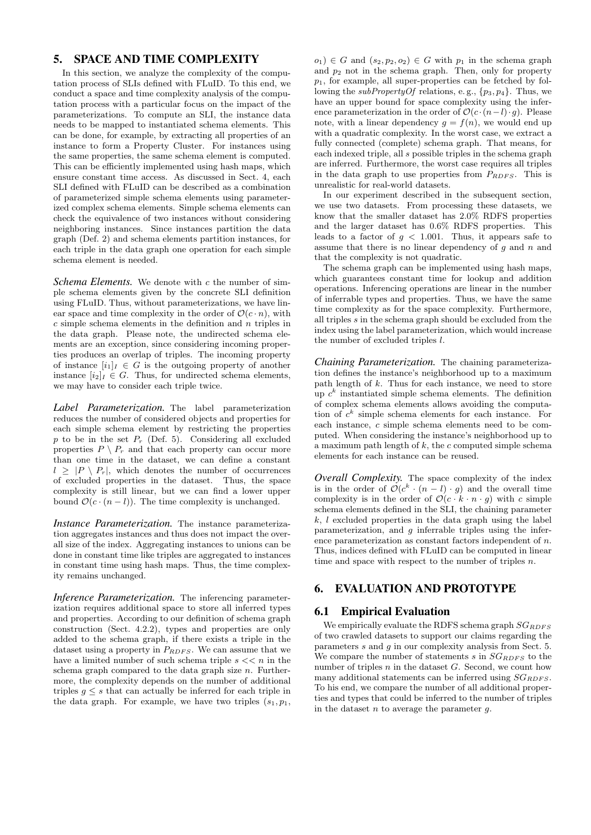# 5. SPACE AND TIME COMPLEXITY

In this section, we analyze the complexity of the computation process of SLIs defined with FLuID. To this end, we conduct a space and time complexity analysis of the computation process with a particular focus on the impact of the parameterizations. To compute an SLI, the instance data needs to be mapped to instantiated schema elements. This can be done, for example, by extracting all properties of an instance to form a Property Cluster. For instances using the same properties, the same schema element is computed. This can be efficiently implemented using hash maps, which ensure constant time access. As discussed in Sect. 4, each SLI defined with FLuID can be described as a combination of parameterized simple schema elements using parameterized complex schema elements. Simple schema elements can check the equivalence of two instances without considering neighboring instances. Since instances partition the data graph (Def. 2) and schema elements partition instances, for each triple in the data graph one operation for each simple schema element is needed.

*Schema Elements.* We denote with c the number of simple schema elements given by the concrete SLI definition using FLuID. Thus, without parameterizations, we have linear space and time complexity in the order of  $\mathcal{O}(c \cdot n)$ , with  $c$  simple schema elements in the definition and  $n$  triples in the data graph. Please note, the undirected schema elements are an exception, since considering incoming properties produces an overlap of triples. The incoming property of instance  $[i_1]_I \in G$  is the outgoing property of another instance  $[i_2]_I \in G$ . Thus, for undirected schema elements, we may have to consider each triple twice.

*Label Parameterization.* The label parameterization reduces the number of considered objects and properties for each simple schema element by restricting the properties  $p$  to be in the set  $P_r$  (Def. 5). Considering all excluded properties  $P \setminus P_r$  and that each property can occur more than one time in the dataset, we can define a constant  $l \geq |P \setminus P_r|$ , which denotes the number of occurrences of excluded properties in the dataset. Thus, the space complexity is still linear, but we can find a lower upper bound  $\mathcal{O}(c \cdot (n-l))$ . The time complexity is unchanged.

*Instance Parameterization.* The instance parameterization aggregates instances and thus does not impact the overall size of the index. Aggregating instances to unions can be done in constant time like triples are aggregated to instances in constant time using hash maps. Thus, the time complexity remains unchanged.

*Inference Parameterization.* The inferencing parameterization requires additional space to store all inferred types and properties. According to our definition of schema graph construction (Sect. 4.2.2), types and properties are only added to the schema graph, if there exists a triple in the dataset using a property in  $P_{RDFS}$ . We can assume that we have a limited number of such schema triple  $s \ll n$  in the schema graph compared to the data graph size  $n$ . Furthermore, the complexity depends on the number of additional triples  $g \leq s$  that can actually be inferred for each triple in the data graph. For example, we have two triples  $(s_1, p_1,$ 

 $o_1$ )  $\in G$  and  $(s_2, p_2, o_2) \in G$  with  $p_1$  in the schema graph and  $p_2$  not in the schema graph. Then, only for property  $p_1$ , for example, all super-properties can be fetched by following the *subPropertyOf* relations, e.g.,  $\{p_3, p_4\}$ . Thus, we have an upper bound for space complexity using the inference parameterization in the order of  $\mathcal{O}(c \cdot (n-l) \cdot g)$ . Please note, with a linear dependency  $g = f(n)$ , we would end up with a quadratic complexity. In the worst case, we extract a fully connected (complete) schema graph. That means, for each indexed triple, all s possible triples in the schema graph are inferred. Furthermore, the worst case requires all triples in the data graph to use properties from  $P_{RDFS}$ . This is unrealistic for real-world datasets.

In our experiment described in the subsequent section, we use two datasets. From processing these datasets, we know that the smaller dataset has 2.0% RDFS properties and the larger dataset has 0.6% RDFS properties. This leads to a factor of  $q < 1.001$ . Thus, it appears safe to assume that there is no linear dependency of  $q$  and  $n$  and that the complexity is not quadratic.

The schema graph can be implemented using hash maps, which guarantees constant time for lookup and addition operations. Inferencing operations are linear in the number of inferrable types and properties. Thus, we have the same time complexity as for the space complexity. Furthermore, all triples  $s$  in the schema graph should be excluded from the index using the label parameterization, which would increase the number of excluded triples l.

*Chaining Parameterization.* The chaining parameterization defines the instance's neighborhood up to a maximum path length of  $k$ . Thus for each instance, we need to store up  $c^k$  instantiated simple schema elements. The definition of complex schema elements allows avoiding the computation of  $c^k$  simple schema elements for each instance. For each instance, c simple schema elements need to be computed. When considering the instance's neighborhood up to a maximum path length of  $k$ , the c computed simple schema elements for each instance can be reused.

*Overall Complexity.* The space complexity of the index is in the order of  $\mathcal{O}(c^k \cdot (n-l) \cdot g)$  and the overall time complexity is in the order of  $\mathcal{O}(c \cdot k \cdot n \cdot q)$  with c simple schema elements defined in the SLI, the chaining parameter  $k, l$  excluded properties in the data graph using the label parameterization, and  $g$  inferrable triples using the inference parameterization as constant factors independent of n. Thus, indices defined with FLuID can be computed in linear time and space with respect to the number of triples  $n$ .

# 6. EVALUATION AND PROTOTYPE

### 6.1 Empirical Evaluation

We empirically evaluate the RDFS schema graph  $SG_{BDFS}$ of two crawled datasets to support our claims regarding the parameters  $s$  and  $q$  in our complexity analysis from Sect. 5. We compare the number of statements s in  $SG_{RDFS}$  to the number of triples  $n$  in the dataset  $G$ . Second, we count how many additional statements can be inferred using  $SG_{RDFS}$ . To his end, we compare the number of all additional properties and types that could be inferred to the number of triples in the dataset  $n$  to average the parameter  $q$ .